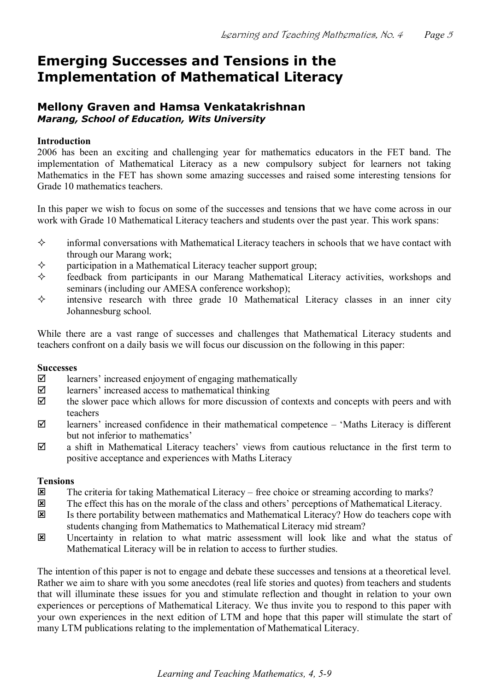## **Emerging Successes and Tensions in the Implementation of Mathematical Literacy**

### **Mellony Graven and Hamsa Venkatakrishnan** *Marang, School of Education, Wits University*

### **Introduction**

2006 has been an exciting and challenging year for mathematics educators in the FET band. The implementation of Mathematical Literacy as a new compulsory subject for learners not taking Mathematics in the FET has shown some amazing successes and raised some interesting tensions for Grade 10 mathematics teachers.

In this paper we wish to focus on some of the successes and tensions that we have come across in our work with Grade 10 Mathematical Literacy teachers and students over the past year. This work spans:

- $\diamond$  informal conversations with Mathematical Literacy teachers in schools that we have contact with through our Marang work;
- $\diamond$  participation in a Mathematical Literacy teacher support group;<br> $\diamond$  feedback from participants in our Marang Mathematical Literation
- feedback from participants in our Marang Mathematical Literacy activities, workshops and seminars (including our AMESA conference workshop);
- $\diamond$  intensive research with three grade 10 Mathematical Literacy classes in an inner city Johannesburg school.

While there are a vast range of successes and challenges that Mathematical Literacy students and teachers confront on a daily basis we will focus our discussion on the following in this paper:

### **Successes**

- $\boxtimes$  learners' increased enjoyment of engaging mathematically
- $\boxtimes$  learners' increased access to mathematical thinking
- $\boxtimes$  the slower pace which allows for more discussion of contexts and concepts with peers and with teachers
- $\boxtimes$  learners' increased confidence in their mathematical competence 'Maths Literacy is different but not inferior to mathematics'
- $\boxtimes$  a shift in Mathematical Literacy teachers' views from cautious reluctance in the first term to positive acceptance and experiences with Maths Literacy

# **Tensions**<br> $\overline{\mathbf{x}}$

- The criteria for taking Mathematical Literacy free choice or streaming according to marks?
- $\Xi$  The effect this has on the morale of the class and others' perceptions of Mathematical Literacy.
- $\Xi$  Is there portability between mathematics and Mathematical Literacy? How do teachers cope with students changing from Mathematics to Mathematical Literacy mid stream?
- **EX** Uncertainty in relation to what matric assessment will look like and what the status of Mathematical Literacy will be in relation to access to further studies.

The intention of this paper is not to engage and debate these successes and tensions at a theoretical level. Rather we aim to share with you some anecdotes (real life stories and quotes) from teachers and students that will illuminate these issues for you and stimulate reflection and thought in relation to your own experiences or perceptions of Mathematical Literacy. We thus invite you to respond to this paper with your own experiences in the next edition of LTM and hope that this paper will stimulate the start of many LTM publications relating to the implementation of Mathematical Literacy.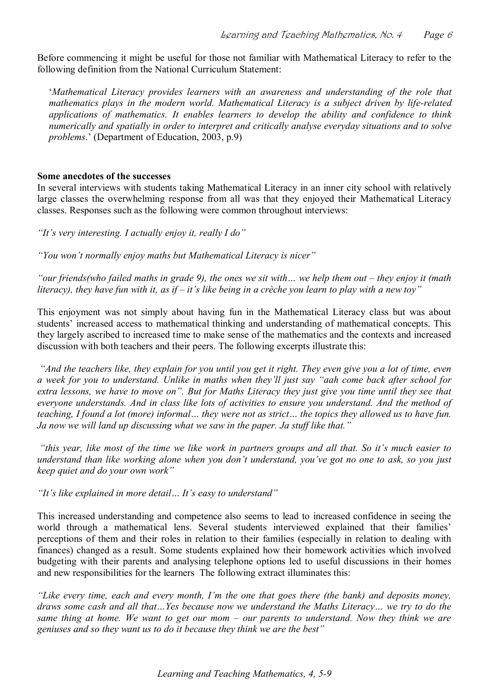Before commencing it might be useful for those not familiar with Mathematical Literacy to refer to the following definition from the National Curriculum Statement:

'*Mathematical Literacy provides learners with an awareness and understanding of the role that mathematics plays in the modern world. Mathematical Literacy is a subject driven by liferelated applications of mathematics. It enables learners to develop the ability and confidence to think numerically and spatially in order to interpret and critically analyse everyday situations and to solve problems*.' (Department of Education, 2003, p.9)

#### **Some anecdotes of the successes**

In several interviews with students taking Mathematical Literacy in an inner city school with relatively large classes the overwhelming response from all was that they enjoyed their Mathematical Literacy classes. Responses such as the following were common throughout interviews:

*"It's very interesting. I actually enjoy it, really I do"* 

*"You won't normally enjoy maths but Mathematical Literacy is nicer"* 

*"our friends(who failed maths in grade 9), the ones we sit with… we help them out – they enjoy it (math literacy), they have fun with it, as if – it's like being in a crèche you learn to play with a new toy"*

This enjoyment was not simply about having fun in the Mathematical Literacy class but was about students' increased access to mathematical thinking and understanding of mathematical concepts. This they largely ascribed to increased time to make sense of the mathematics and the contexts and increased discussion with both teachers and their peers. The following excerpts illustrate this:

*"And the teachers like, they explain for you until you get it right. They even give you a lot of time, even a week for you to understand. Unlike in maths when they'll just say "aah come back after school for extra lessons, we have to move on". But for Maths Literacy they just give you time until they see that everyone understands. And in class like lots of activities to ensure you understand. And the method of teaching, I found a lot (more) informal… they were not as strict… the topics they allowed us to have fun. Ja now we will land up discussing what we saw in the paper. Ja stuff like that."* 

*"this year, like most of the time we like work in partners groups and all that. So it's much easier to understand than like working alone when you don't understand, you've got no one to ask, so you just keep quiet and do your own work"* 

*"It's like explained in more detail… It'seasy to understand"*

This increased understanding and competence also seems to lead to increased confidence in seeing the world through a mathematical lens. Several students interviewed explained that their families' perceptions of them and their roles in relation to their families (especially in relation to dealing with finances) changed as a result. Some students explained how their homework activities which involved budgeting with their parents and analysing telephone options led to useful discussions in their homes and new responsibilities for the learners The following extract illuminates this:

*"Like every time, each and every month, I'm the one that goes there (the bank) and deposits money, draws some cash and all that…Yes because now we understand the Maths Literacy… we try to do the*  same thing at home. We want to get our mom  $-$  our parents to understand. Now they think we are *geniuses and so they want us to do it because they think we are the best"*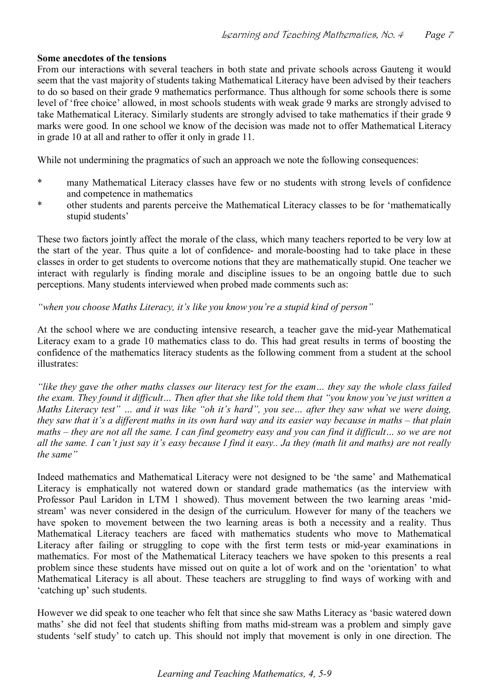### **Some anecdotes of the tensions**

From our interactions with several teachers in both state and private schools across Gauteng it would seem that the vast majority of students taking Mathematical Literacy have been advised by their teachers to do so based on their grade 9 mathematics performance. Thus although for some schools there is some level of 'free choice' allowed, in most schools students with weak grade 9 marks are strongly advised to take Mathematical Literacy. Similarly students are strongly advised to take mathematics if their grade 9 marks were good. In one school we know of the decision was made not to offer Mathematical Literacy in grade 10 at all and rather to offer it only in grade 11.

While not undermining the pragmatics of such an approach we note the following consequences:

- \* many Mathematical Literacy classes have few or no students with strong levels of confidence and competence in mathematics
- \* other students and parents perceive the Mathematical Literacy classes to be for 'mathematically stupid students'

These two factors jointly affect the morale of the class, which many teachers reported to be very low at the start of the year. Thus quite a lot of confidence- and morale-boosting had to take place in these classes in order to get students to overcome notions that they are mathematically stupid. One teacher we interact with regularly is finding morale and discipline issues to be an ongoing battle due to such perceptions. Many students interviewed when probed made comments such as:

*"when you choose Maths Literacy, it's like you know you're a stupid kind of person"*

At the school where we are conducting intensive research, a teacher gave the mid-vear Mathematical Literacy exam to a grade 10 mathematics class to do. This had great results in terms of boosting the confidence of the mathematics literacy students as the following comment from a student at the school illustrates:

*"like they gave the other maths classes our literacy test for the exam… they say the whole class failed the exam. They found it difficult… Then after that she like told them that "you know you've just written a Maths Literacy test" … and it was like "oh it's hard", you see… after they saw what we were doing, they saw that it's a different maths in its own hard way and its easier way because in maths – that plain maths – they are not all the same. I can find geometry easy and you can find it difficult… so we are not all the same. I can't just say it's easy because I find it easy.. Ja they (math lit and maths) are not really the same"*

Indeed mathematics and Mathematical Literacy were not designed to be 'the same' and Mathematical Literacy is emphatically not watered down or standard grade mathematics (as the interview with Professor Paul Laridon in LTM 1 showed). Thus movement between the two learning areas 'midstream' was never considered in the design of the curriculum. However for many of the teachers we have spoken to movement between the two learning areas is both a necessity and a reality. Thus Mathematical Literacy teachers are faced with mathematics students who move to Mathematical Literacy after failing or struggling to cope with the first term tests or mid-year examinations in mathematics. For most of the Mathematical Literacy teachers we have spoken to this presents a real problem since these students have missed out on quite a lot of work and on the 'orientation' to what Mathematical Literacy is all about. These teachers are struggling to find ways of working with and 'catching up' such students.

However we did speak to one teacher who felt that since she saw Maths Literacy as 'basic watered down maths' she did not feel that students shifting from maths mid-stream was a problem and simply gave students 'self study' to catch up. This should not imply that movement is only in one direction. The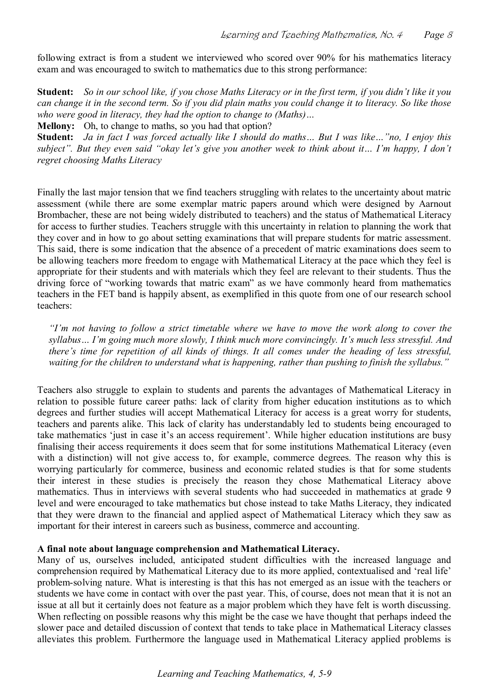following extract is from a student we interviewed who scored over 90% for his mathematics literacy exam and was encouraged to switch to mathematics due to this strong performance:

**Student:** *So in our school like, if you chose Maths Literacy or in the first term, if you didn't like it you can change it in the second term. So if you did plain maths you could change it to literacy. So like those who were good in literacy, they had the option to change to (Maths)…*

**Mellony:** Oh, to change to maths, so you had that option?

**Student:** *Ja in fact I was forced actually like I should do maths… But I was like…"no, I enjoy this subject". But they even said "okay let's give you another week to think about it… I'm happy, I don't regret choosing Maths Literacy*

Finally the last major tension that we find teachers struggling with relates to the uncertainty about matric assessment (while there are some exemplar matric papers around which were designed by Aarnout Brombacher, these are not being widely distributed to teachers) and the status of Mathematical Literacy for access to further studies. Teachers struggle with this uncertainty in relation to planning the work that they cover and in how to go about setting examinations that will prepare students for matric assessment. This said, there is some indication that the absence of a precedent of matric examinations does seem to be allowing teachers more freedom to engage with Mathematical Literacy at the pace which they feel is appropriate for their students and with materials which they feel are relevant to their students. Thus the driving force of "working towards that matric exam" as we have commonly heard from mathematics teachers in the FET band is happily absent, as exemplified in this quote from one of our research school teachers:

*"I'm not having to follow a strict timetable where we have to move the work along to cover the syllabus… I'm going much more slowly, I think much more convincingly. It's much less stressful. And*  there's time for repetition of all kinds of things. It all comes under the heading of less stressful, *waiting for the children to understand what is happening, rather than pushing to finish the syllabus."*

Teachers also struggle to explain to students and parents the advantages of Mathematical Literacy in relation to possible future career paths: lack of clarity from higher education institutions as to which degrees and further studies will accept Mathematical Literacy for access is a great worry for students, teachers and parents alike. This lack of clarity has understandably led to students being encouraged to take mathematics 'just in case it's an access requirement'. While higher education institutions are busy finalising their access requirements it does seem that for some institutions Mathematical Literacy (even with a distinction) will not give access to, for example, commerce degrees. The reason why this is worrying particularly for commerce, business and economic related studies is that for some students their interest in these studies is precisely the reason they chose Mathematical Literacy above mathematics. Thus in interviews with several students who had succeeded in mathematics at grade 9 level and were encouraged to take mathematics but chose instead to take Maths Literacy, they indicated that they were drawn to the financial and applied aspect of Mathematical Literacy which they saw as important for their interest in careers such as business, commerce and accounting.

### **A final note about language comprehension and Mathematical Literacy.**

Many of us, ourselves included, anticipated student difficulties with the increased language and comprehension required by Mathematical Literacy due to its more applied, contextualised and 'real life' problem-solving nature. What is interesting is that this has not emerged as an issue with the teachers or students we have come in contact with over the past year. This, of course, does not mean that it is not an issue at all but it certainly does not feature as a major problem which they have felt is worth discussing. When reflecting on possible reasons why this might be the case we have thought that perhaps indeed the slower pace and detailed discussion of context that tends to take place in Mathematical Literacy classes alleviates this problem. Furthermore the language used in Mathematical Literacy applied problems is